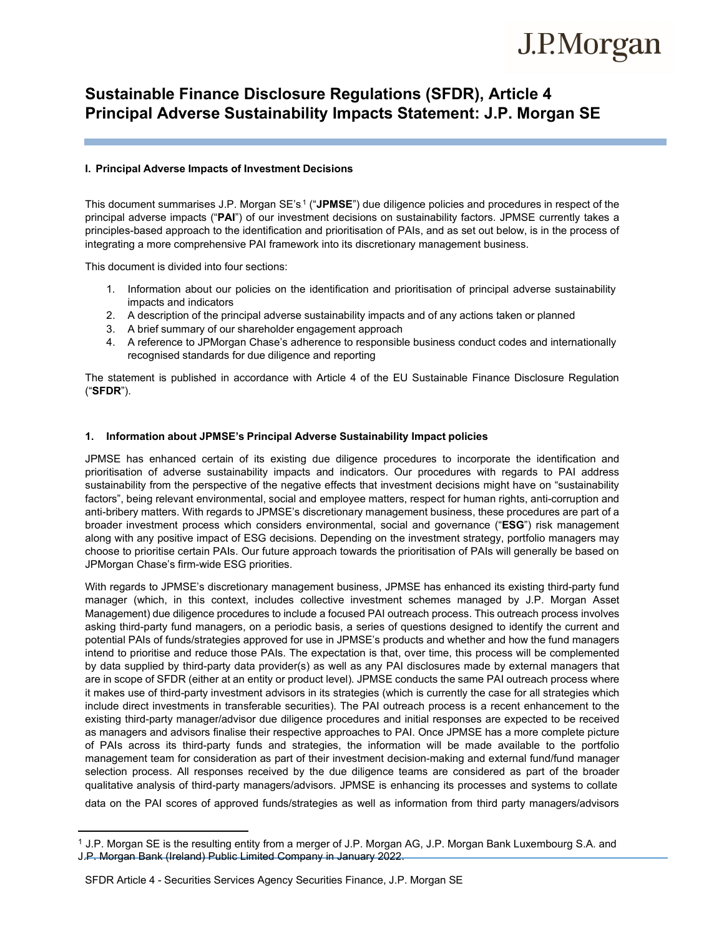# J.P.Morgan

# **Sustainable Finance Disclosure Regulations (SFDR), Article 4 Principal Adverse Sustainability Impacts Statement: J.P. Morgan SE**

### **I. Principal Adverse Impacts of Investment Decisions**

This document summarises J.P. Morgan SE's.<sup>1</sup> ("**JPMSE**") due diligence policies and procedures in respect of the principal adverse impacts ("**PAI**") of our investment decisions on sustainability factors. JPMSE currently takes a principles-based approach to the identification and prioritisation of PAIs, and as set out below, is in the process of integrating a more comprehensive PAI framework into its discretionary management business.

This document is divided into four sections:

- 1. Information about our policies on the identification and prioritisation of principal adverse sustainability impacts and indicators
- 2. A description of the principal adverse sustainability impacts and of any actions taken or planned
- 3. A brief summary of our shareholder engagement approach
- 4. A reference to JPMorgan Chase's adherence to responsible business conduct codes and internationally recognised standards for due diligence and reporting

The statement is published in accordance with Article 4 of the EU Sustainable Finance Disclosure Regulation ("**SFDR**").

## **1. Information about JPMSE's Principal Adverse Sustainability Impact policies**

JPMSE has enhanced certain of its existing due diligence procedures to incorporate the identification and prioritisation of adverse sustainability impacts and indicators. Our procedures with regards to PAI address sustainability from the perspective of the negative effects that investment decisions might have on "sustainability factors", being relevant environmental, social and employee matters, respect for human rights, anti-corruption and anti-bribery matters. With regards to JPMSE's discretionary management business, these procedures are part of a broader investment process which considers environmental, social and governance ("**ESG**") risk management along with any positive impact of ESG decisions. Depending on the investment strategy, portfolio managers may choose to prioritise certain PAIs. Our future approach towards the prioritisation of PAIs will generally be based on JPMorgan Chase's firm-wide ESG priorities.

With regards to JPMSE's discretionary management business, JPMSE has enhanced its existing third-party fund manager (which, in this context, includes collective investment schemes managed by J.P. Morgan Asset Management) due diligence procedures to include a focused PAI outreach process. This outreach process involves asking third-party fund managers, on a periodic basis, a series of questions designed to identify the current and potential PAIs of funds/strategies approved for use in JPMSE's products and whether and how the fund managers intend to prioritise and reduce those PAIs. The expectation is that, over time, this process will be complemented by data supplied by third-party data provider(s) as well as any PAI disclosures made by external managers that are in scope of SFDR (either at an entity or product level). JPMSE conducts the same PAI outreach process where it makes use of third-party investment advisors in its strategies (which is currently the case for all strategies which include direct investments in transferable securities). The PAI outreach process is a recent enhancement to the existing third-party manager/advisor due diligence procedures and initial responses are expected to be received as managers and advisors finalise their respective approaches to PAI. Once JPMSE has a more complete picture of PAIs across its third-party funds and strategies, the information will be made available to the portfolio management team for consideration as part of their investment decision-making and external fund/fund manager selection process. All responses received by the due diligence teams are considered as part of the broader qualitative analysis of third-party managers/advisors. JPMSE is enhancing its processes and systems to collate

data on the PAI scores of approved funds/strategies as well as information from third party managers/advisors

<sup>&</sup>lt;sup>1</sup> J.P. Morgan SE is the resulting entity from a merger of J.P. Morgan AG, J.P. Morgan Bank Luxembourg S.A. and J.P. Morgan Bank (Ireland) Public Limited Company in January 2022.

SFDR Article 4 - Securities Services Agency Securities Finance, J.P. Morgan SE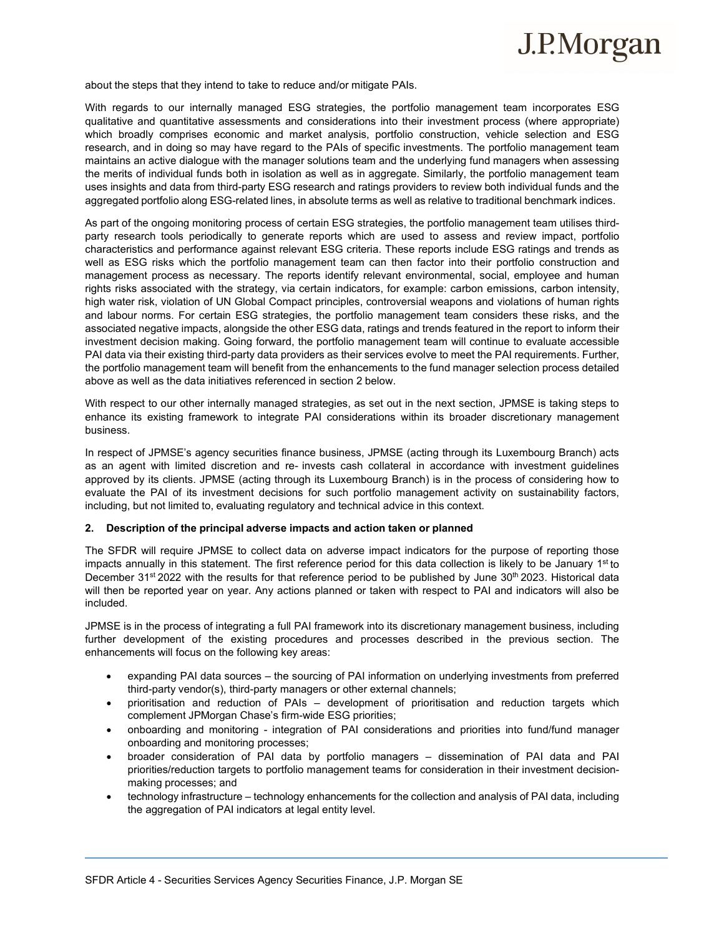# J.P.Morgan

about the steps that they intend to take to reduce and/or mitigate PAIs.

With regards to our internally managed ESG strategies, the portfolio management team incorporates ESG qualitative and quantitative assessments and considerations into their investment process (where appropriate) which broadly comprises economic and market analysis, portfolio construction, vehicle selection and ESG research, and in doing so may have regard to the PAIs of specific investments. The portfolio management team maintains an active dialogue with the manager solutions team and the underlying fund managers when assessing the merits of individual funds both in isolation as well as in aggregate. Similarly, the portfolio management team uses insights and data from third-party ESG research and ratings providers to review both individual funds and the aggregated portfolio along ESG-related lines, in absolute terms as well as relative to traditional benchmark indices.

As part of the ongoing monitoring process of certain ESG strategies, the portfolio management team utilises thirdparty research tools periodically to generate reports which are used to assess and review impact, portfolio characteristics and performance against relevant ESG criteria. These reports include ESG ratings and trends as well as ESG risks which the portfolio management team can then factor into their portfolio construction and management process as necessary. The reports identify relevant environmental, social, employee and human rights risks associated with the strategy, via certain indicators, for example: carbon emissions, carbon intensity, high water risk, violation of UN Global Compact principles, controversial weapons and violations of human rights and labour norms. For certain ESG strategies, the portfolio management team considers these risks, and the associated negative impacts, alongside the other ESG data, ratings and trends featured in the report to inform their investment decision making. Going forward, the portfolio management team will continue to evaluate accessible PAI data via their existing third-party data providers as their services evolve to meet the PAI requirements. Further, the portfolio management team will benefit from the enhancements to the fund manager selection process detailed above as well as the data initiatives referenced in section 2 below.

With respect to our other internally managed strategies, as set out in the next section, JPMSE is taking steps to enhance its existing framework to integrate PAI considerations within its broader discretionary management business.

In respect of JPMSE's agency securities finance business, JPMSE (acting through its Luxembourg Branch) acts as an agent with limited discretion and re- invests cash collateral in accordance with investment guidelines approved by its clients. JPMSE (acting through its Luxembourg Branch) is in the process of considering how to evaluate the PAI of its investment decisions for such portfolio management activity on sustainability factors, including, but not limited to, evaluating regulatory and technical advice in this context.

#### **2. Description of the principal adverse impacts and action taken or planned**

The SFDR will require JPMSE to collect data on adverse impact indicators for the purpose of reporting those impacts annually in this statement. The first reference period for this data collection is likely to be January  $1<sup>st</sup>$  to December 31<sup>st</sup> 2022 with the results for that reference period to be published by June 30<sup>th</sup> 2023. Historical data will then be reported year on year. Any actions planned or taken with respect to PAI and indicators will also be included.

JPMSE is in the process of integrating a full PAI framework into its discretionary management business, including further development of the existing procedures and processes described in the previous section. The enhancements will focus on the following key areas:

- expanding PAI data sources the sourcing of PAI information on underlying investments from preferred third-party vendor(s), third-party managers or other external channels;
- prioritisation and reduction of PAIs development of prioritisation and reduction targets which complement JPMorgan Chase's firm-wide ESG priorities;
- onboarding and monitoring integration of PAI considerations and priorities into fund/fund manager onboarding and monitoring processes;
- broader consideration of PAI data by portfolio managers dissemination of PAI data and PAI priorities/reduction targets to portfolio management teams for consideration in their investment decisionmaking processes; and
- technology infrastructure technology enhancements for the collection and analysis of PAI data, including the aggregation of PAI indicators at legal entity level.